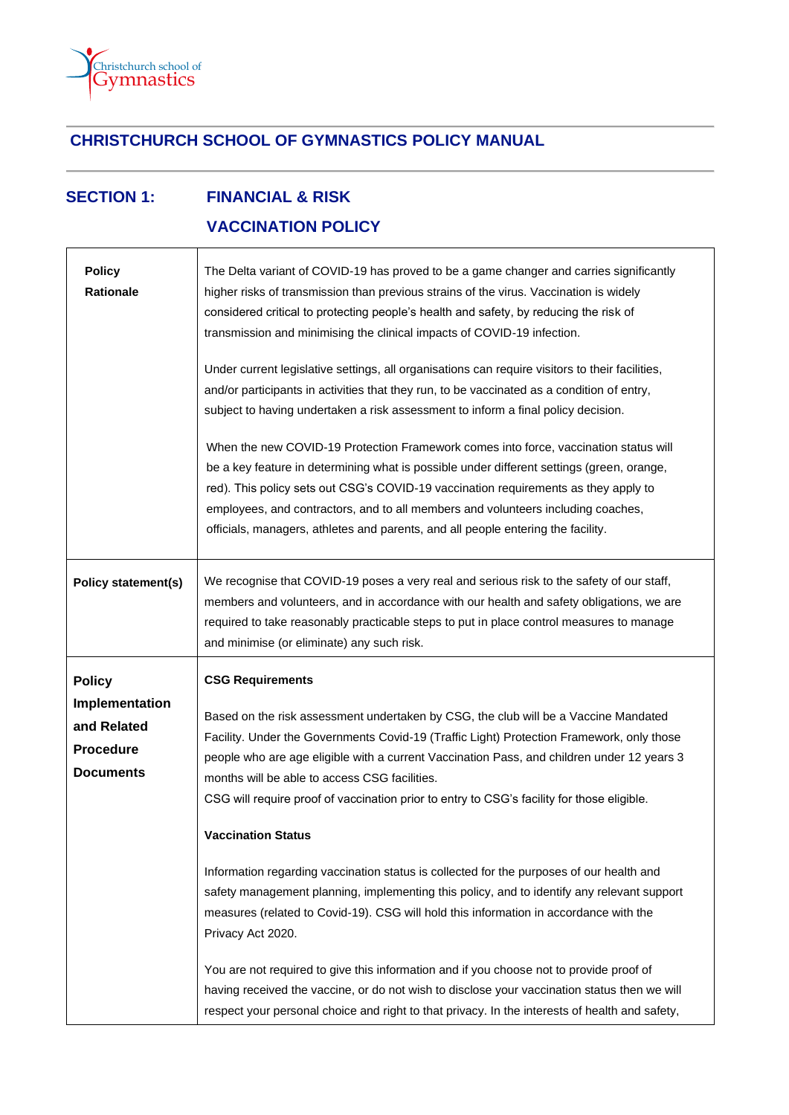

## **CHRISTCHURCH SCHOOL OF GYMNASTICS POLICY MANUAL**

## **SECTION 1: FINANCIAL & RISK VACCINATION POLICY**

| <b>Policy</b><br><b>Rationale</b>                                                      | The Delta variant of COVID-19 has proved to be a game changer and carries significantly<br>higher risks of transmission than previous strains of the virus. Vaccination is widely<br>considered critical to protecting people's health and safety, by reducing the risk of<br>transmission and minimising the clinical impacts of COVID-19 infection.<br>Under current legislative settings, all organisations can require visitors to their facilities,<br>and/or participants in activities that they run, to be vaccinated as a condition of entry,<br>subject to having undertaken a risk assessment to inform a final policy decision.<br>When the new COVID-19 Protection Framework comes into force, vaccination status will<br>be a key feature in determining what is possible under different settings (green, orange,<br>red). This policy sets out CSG's COVID-19 vaccination requirements as they apply to<br>employees, and contractors, and to all members and volunteers including coaches,<br>officials, managers, athletes and parents, and all people entering the facility. |
|----------------------------------------------------------------------------------------|-------------------------------------------------------------------------------------------------------------------------------------------------------------------------------------------------------------------------------------------------------------------------------------------------------------------------------------------------------------------------------------------------------------------------------------------------------------------------------------------------------------------------------------------------------------------------------------------------------------------------------------------------------------------------------------------------------------------------------------------------------------------------------------------------------------------------------------------------------------------------------------------------------------------------------------------------------------------------------------------------------------------------------------------------------------------------------------------------|
| <b>Policy statement(s)</b>                                                             | We recognise that COVID-19 poses a very real and serious risk to the safety of our staff,<br>members and volunteers, and in accordance with our health and safety obligations, we are<br>required to take reasonably practicable steps to put in place control measures to manage<br>and minimise (or eliminate) any such risk.                                                                                                                                                                                                                                                                                                                                                                                                                                                                                                                                                                                                                                                                                                                                                                 |
| <b>Policy</b><br>Implementation<br>and Related<br><b>Procedure</b><br><b>Documents</b> | <b>CSG Requirements</b><br>Based on the risk assessment undertaken by CSG, the club will be a Vaccine Mandated<br>Facility. Under the Governments Covid-19 (Traffic Light) Protection Framework, only those<br>people who are age eligible with a current Vaccination Pass, and children under 12 years 3<br>months will be able to access CSG facilities.<br>CSG will require proof of vaccination prior to entry to CSG's facility for those eligible.<br><b>Vaccination Status</b><br>Information regarding vaccination status is collected for the purposes of our health and<br>safety management planning, implementing this policy, and to identify any relevant support<br>measures (related to Covid-19). CSG will hold this information in accordance with the<br>Privacy Act 2020.<br>You are not required to give this information and if you choose not to provide proof of<br>having received the vaccine, or do not wish to disclose your vaccination status then we will<br>respect your personal choice and right to that privacy. In the interests of health and safety,      |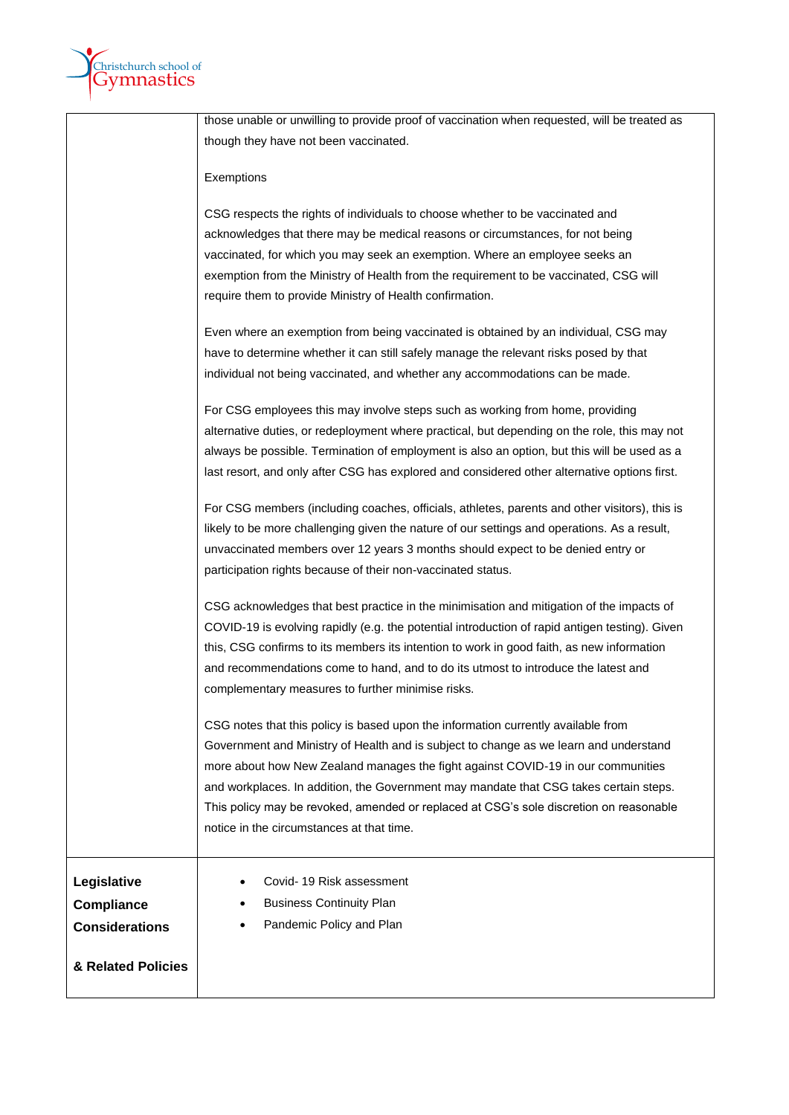

| those unable or unwilling to provide proof of vaccination when requested, will be treated as<br>though they have not been vaccinated. |  |
|---------------------------------------------------------------------------------------------------------------------------------------|--|
|                                                                                                                                       |  |
|                                                                                                                                       |  |
| Exemptions                                                                                                                            |  |
| CSG respects the rights of individuals to choose whether to be vaccinated and                                                         |  |
| acknowledges that there may be medical reasons or circumstances, for not being                                                        |  |
| vaccinated, for which you may seek an exemption. Where an employee seeks an                                                           |  |
| exemption from the Ministry of Health from the requirement to be vaccinated, CSG will                                                 |  |
| require them to provide Ministry of Health confirmation.                                                                              |  |
| Even where an exemption from being vaccinated is obtained by an individual, CSG may                                                   |  |
| have to determine whether it can still safely manage the relevant risks posed by that                                                 |  |
| individual not being vaccinated, and whether any accommodations can be made.                                                          |  |
| For CSG employees this may involve steps such as working from home, providing                                                         |  |
| alternative duties, or redeployment where practical, but depending on the role, this may not                                          |  |
| always be possible. Termination of employment is also an option, but this will be used as a                                           |  |
| last resort, and only after CSG has explored and considered other alternative options first.                                          |  |
| For CSG members (including coaches, officials, athletes, parents and other visitors), this is                                         |  |
| likely to be more challenging given the nature of our settings and operations. As a result,                                           |  |
| unvaccinated members over 12 years 3 months should expect to be denied entry or                                                       |  |
| participation rights because of their non-vaccinated status.                                                                          |  |
|                                                                                                                                       |  |
| CSG acknowledges that best practice in the minimisation and mitigation of the impacts of                                              |  |
| COVID-19 is evolving rapidly (e.g. the potential introduction of rapid antigen testing). Given                                        |  |
| this, CSG confirms to its members its intention to work in good faith, as new information                                             |  |
| and recommendations come to hand, and to do its utmost to introduce the latest and                                                    |  |
| complementary measures to further minimise risks.                                                                                     |  |
| CSG notes that this policy is based upon the information currently available from                                                     |  |
| Government and Ministry of Health and is subject to change as we learn and understand                                                 |  |
| more about how New Zealand manages the fight against COVID-19 in our communities                                                      |  |
| and workplaces. In addition, the Government may mandate that CSG takes certain steps.                                                 |  |
| This policy may be revoked, amended or replaced at CSG's sole discretion on reasonable                                                |  |
| notice in the circumstances at that time.                                                                                             |  |
|                                                                                                                                       |  |
| Legislative<br>Covid-19 Risk assessment                                                                                               |  |
| <b>Business Continuity Plan</b><br><b>Compliance</b>                                                                                  |  |
| Pandemic Policy and Plan<br><b>Considerations</b>                                                                                     |  |
|                                                                                                                                       |  |
| & Related Policies                                                                                                                    |  |